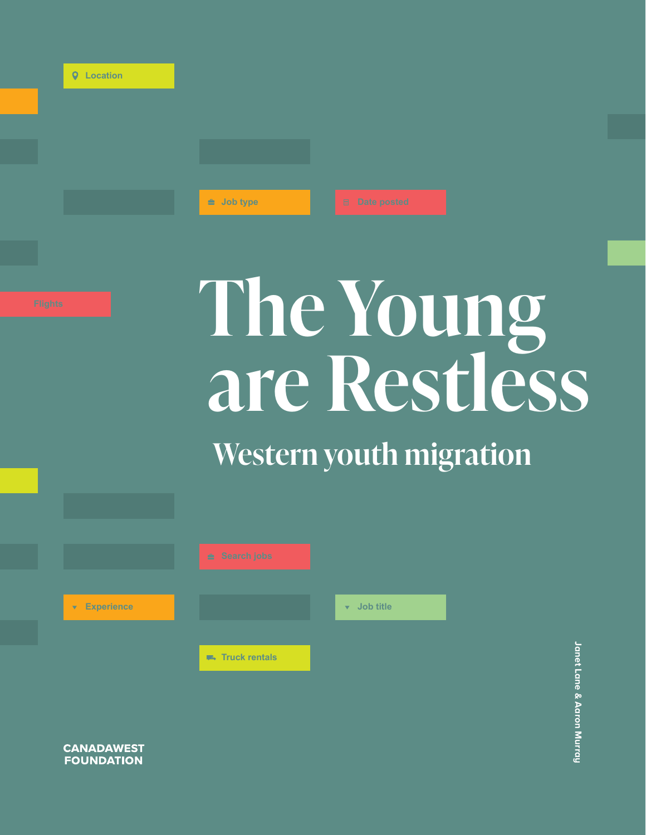|  |  | <b>Q</b> Location |
|--|--|-------------------|
|--|--|-------------------|

 $±$  Job type

# **Flights The Young are Restless**

**Western youth migration**



**CANADAWEST FOUNDATION**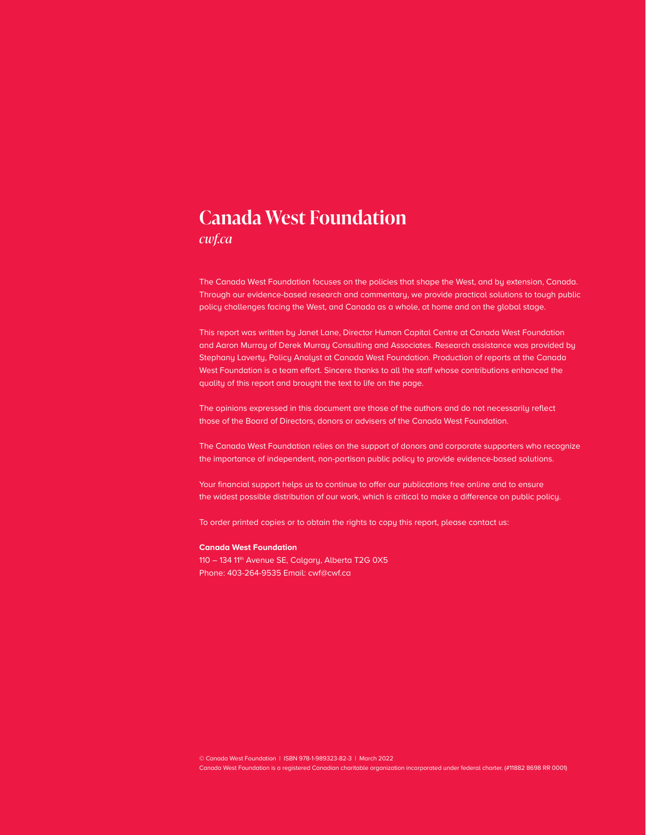## **Canada West Foundation**

*[cwf.ca](http://cwf.ca)*

The Canada West Foundation focuses on the policies that shape the West, and by extension, Canada. Through our evidence-based research and commentary, we provide practical solutions to tough public policy challenges facing the West, and Canada as a whole, at home and on the global stage.

This report was written by Janet Lane, Director Human Capital Centre at Canada West Foundation and Aaron Murray of Derek Murray Consulting and Associates. Research assistance was provided by Stephany Laverty, Policy Analyst at Canada West Foundation. Production of reports at the Canada West Foundation is a team effort. Sincere thanks to all the staff whose contributions enhanced the quality of this report and brought the text to life on the page.

The opinions expressed in this document are those of the authors and do not necessarily reflect those of the Board of Directors, donors or advisers of the Canada West Foundation.

The Canada West Foundation relies on the support of donors and corporate supporters who recognize the importance of independent, non-partisan public policy to provide evidence-based solutions.

Your financial support helps us to continue to offer our publications free online and to ensure the widest possible distribution of our work, which is critical to make a difference on public policy.

To order printed copies or to obtain the rights to copy this report, please contact us:

#### **Canada West Foundation**

110 - 134 11<sup>th</sup> Avenue SE, Calgary, Alberta T2G 0X5 Phone: 403-264-9535 Email: cwf@cwf.ca

© Canada West Foundation | ISBN 978-1-989323-82-3 | March 2022

Canada West Foundation is a registered Canadian charitable organization incorporated under federal charter. (#11882 8698 RR 0001)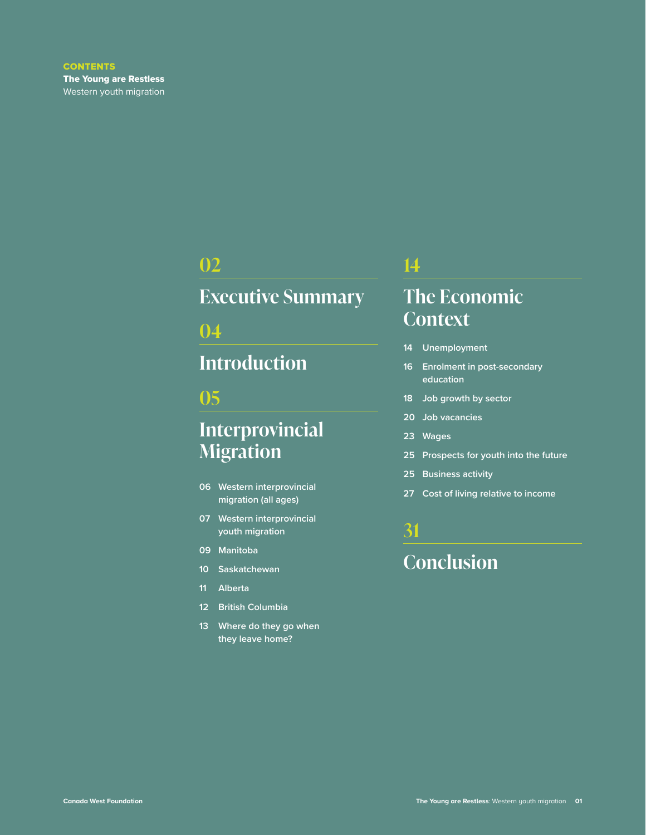## **[02](#page-3-0)**

## **[Executive Summary](#page-3-0)**

## **[04](#page-5-0)**

## **[Introduction](#page-5-0)**

### **[05](#page-6-0)**

## **[Interprovincial](#page-6-0)  [Migration](#page-6-0)**

- **06 [Western interprovincial](#page-7-0)  [migration \(all ages\)](#page-7-0)**
- **07 [Western interprovincial](#page-8-0)  [youth migration](#page-8-0)**
- **09 [Manitoba](#page-10-0)**
- **10 [Saskatchewan](#page-11-0)**
- **11 [Alberta](#page-12-0)**
- **12 [British Columbia](#page-13-0)**
- **13 [Where do they go when](#page-14-0)  [they leave home?](#page-14-0)**

### **[14](#page-15-0)**

## **[The Economic](#page-15-0)  [Context](#page-15-0)**

- **14 [Unemployment](#page-15-0)**
- **16 [Enrolment in post-secondary](#page-17-0)  [education](#page-17-0)**
- **18 [Job growth by sector](#page-19-0)**
- **20 [Job vacancies](#page-21-0)**
- **23 [Wages](#page-24-0)**
- **25 [Prospects for youth into the future](#page-26-0)**
- **25 [Business activity](#page-26-0)**
- **27 [Cost of living relative to income](#page-28-0)**

## **[31](#page-32-0) [Conclusion](#page-32-0)**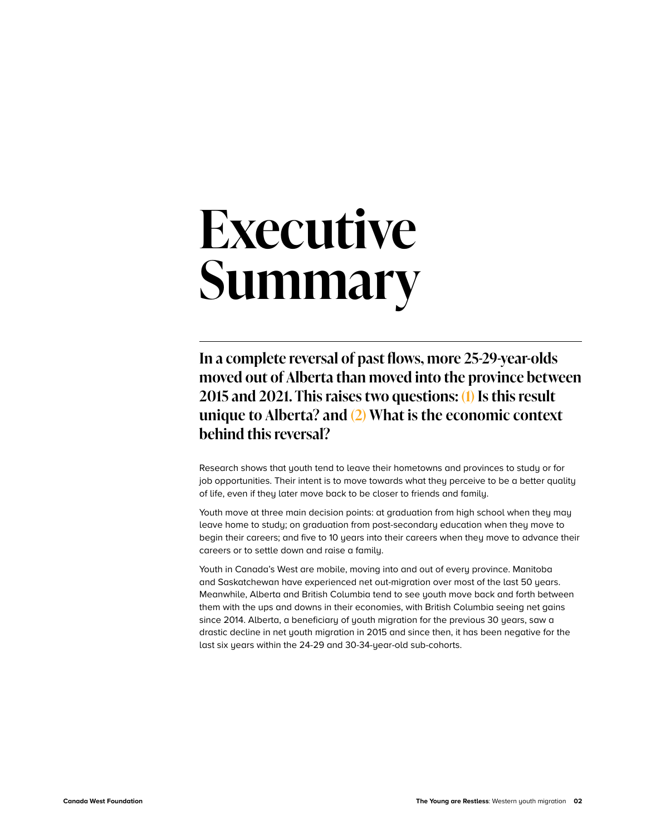## <span id="page-3-0"></span>**Executive Summary**

**In a complete reversal of past flows, more 25-29-year-olds moved out of Alberta than moved into the province between 2015 and 2021. This raises two questions: (1) Is this result unique to Alberta? and (2) What is the economic context behind this reversal?**

Research shows that youth tend to leave their hometowns and provinces to study or for job opportunities. Their intent is to move towards what they perceive to be a better quality of life, even if they later move back to be closer to friends and family.

Youth move at three main decision points: at graduation from high school when they may leave home to study; on graduation from post-secondary education when they move to begin their careers; and five to 10 years into their careers when they move to advance their careers or to settle down and raise a family.

Youth in Canada's West are mobile, moving into and out of every province. Manitoba and Saskatchewan have experienced net out-migration over most of the last 50 years. Meanwhile, Alberta and British Columbia tend to see youth move back and forth between them with the ups and downs in their economies, with British Columbia seeing net gains since 2014. Alberta, a beneficiary of youth migration for the previous 30 years, saw a drastic decline in net youth migration in 2015 and since then, it has been negative for the last six years within the 24-29 and 30-34-year-old sub-cohorts.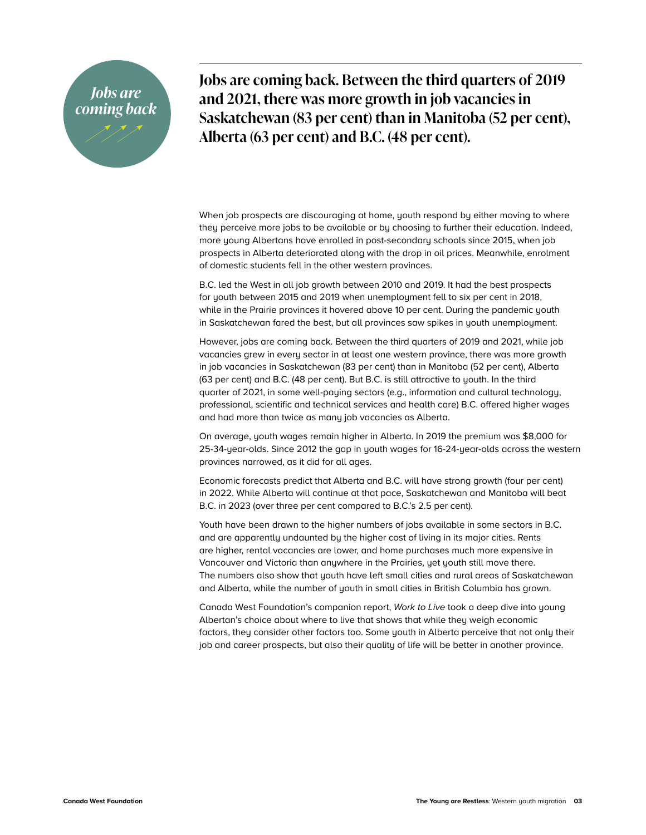## *Jobs are coming back*

**Jobs are coming back. Between the third quarters of 2019 and 2021, there was more growth in job vacancies in Saskatchewan (83 per cent) than in Manitoba (52 per cent), Alberta (63 per cent) and B.C. (48 per cent).** 

When job prospects are discouraging at home, youth respond by either moving to where they perceive more jobs to be available or by choosing to further their education. Indeed, more young Albertans have enrolled in post-secondary schools since 2015, when job prospects in Alberta deteriorated along with the drop in oil prices. Meanwhile, enrolment of domestic students fell in the other western provinces.

B.C. led the West in all job growth between 2010 and 2019. It had the best prospects for youth between 2015 and 2019 when unemployment fell to six per cent in 2018, while in the Prairie provinces it hovered above 10 per cent. During the pandemic youth in Saskatchewan fared the best, but all provinces saw spikes in youth unemployment.

However, jobs are coming back. Between the third quarters of 2019 and 2021, while job vacancies grew in every sector in at least one western province, there was more growth in job vacancies in Saskatchewan (83 per cent) than in Manitoba (52 per cent), Alberta (63 per cent) and B.C. (48 per cent). But B.C. is still attractive to youth. In the third quarter of 2021, in some well-paying sectors (e.g., information and cultural technology, professional, scientific and technical services and health care) B.C. offered higher wages and had more than twice as many job vacancies as Alberta.

On average, youth wages remain higher in Alberta. In 2019 the premium was \$8,000 for 25-34-year-olds. Since 2012 the gap in youth wages for 16-24-year-olds across the western provinces narrowed, as it did for all ages.

Economic forecasts predict that Alberta and B.C. will have strong growth (four per cent) in 2022. While Alberta will continue at that pace, Saskatchewan and Manitoba will beat B.C. in 2023 (over three per cent compared to B.C.'s 2.5 per cent).

Youth have been drawn to the higher numbers of jobs available in some sectors in B.C. and are apparently undaunted by the higher cost of living in its major cities. Rents are higher, rental vacancies are lower, and home purchases much more expensive in Vancouver and Victoria than anywhere in the Prairies, yet youth still move there. The numbers also show that youth have left small cities and rural areas of Saskatchewan and Alberta, while the number of youth in small cities in British Columbia has grown.

Canada West Foundation's companion report, *Work to Live* took a deep dive into young Albertan's choice about where to live that shows that while they weigh economic factors, they consider other factors too. Some youth in Alberta perceive that not only their job and career prospects, but also their quality of life will be better in another province.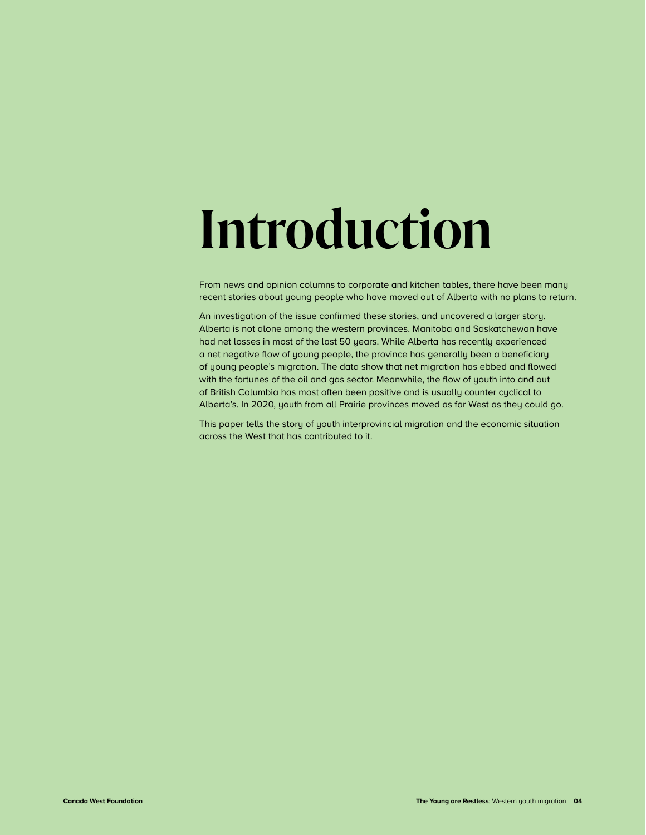## <span id="page-5-0"></span>**Introduction**

From news and opinion columns to corporate and kitchen tables, there have been many recent stories about young people who have moved out of Alberta with no plans to return.

An investigation of the issue confirmed these stories, and uncovered a larger story. Alberta is not alone among the western provinces. Manitoba and Saskatchewan have had net losses in most of the last 50 years. While Alberta has recently experienced a net negative flow of young people, the province has generally been a beneficiary of young people's migration. The data show that net migration has ebbed and flowed with the fortunes of the oil and gas sector. Meanwhile, the flow of youth into and out of British Columbia has most often been positive and is usually counter cyclical to Alberta's. In 2020, youth from all Prairie provinces moved as far West as they could go.

This paper tells the story of youth interprovincial migration and the economic situation across the West that has contributed to it.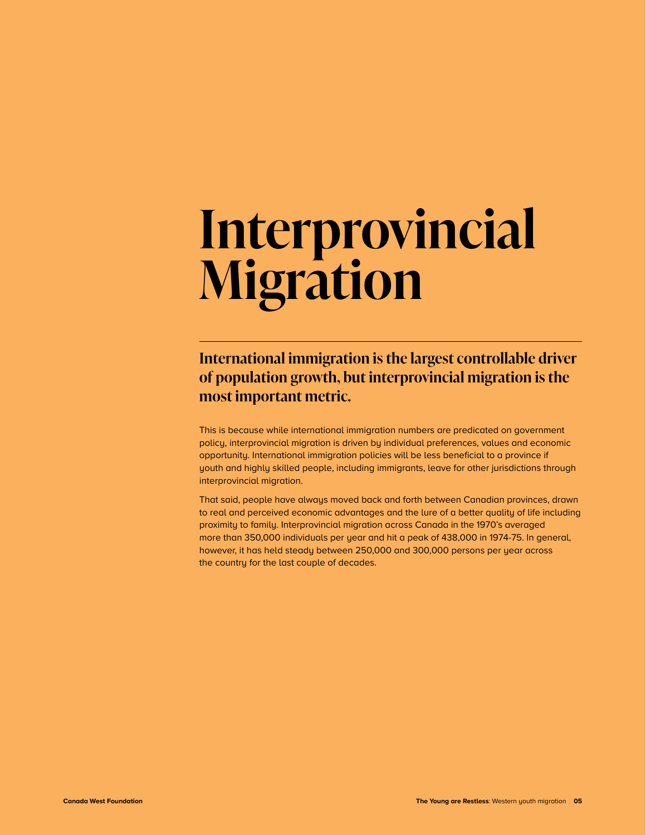## <span id="page-6-0"></span>**Interprovincial Migration**

## **International immigration is the largest controllable driver of population growth, but interprovincial migration is the most important metric.**

This is because while international immigration numbers are predicated on government policy, interprovincial migration is driven by individual preferences, values and economic opportunity. International immigration policies will be less beneficial to a province if youth and highly skilled people, including immigrants, leave for other jurisdictions through interprovincial migration.

That said, people have always moved back and forth between Canadian provinces, drawn to real and perceived economic advantages and the lure of a better quality of life including proximity to family. Interprovincial migration across Canada in the 1970's averaged more than 350,000 individuals per year and hit a peak of 438,000 in 1974-75. In general, however, it has held steady between 250,000 and 300,000 persons per year across the country for the last couple of decades.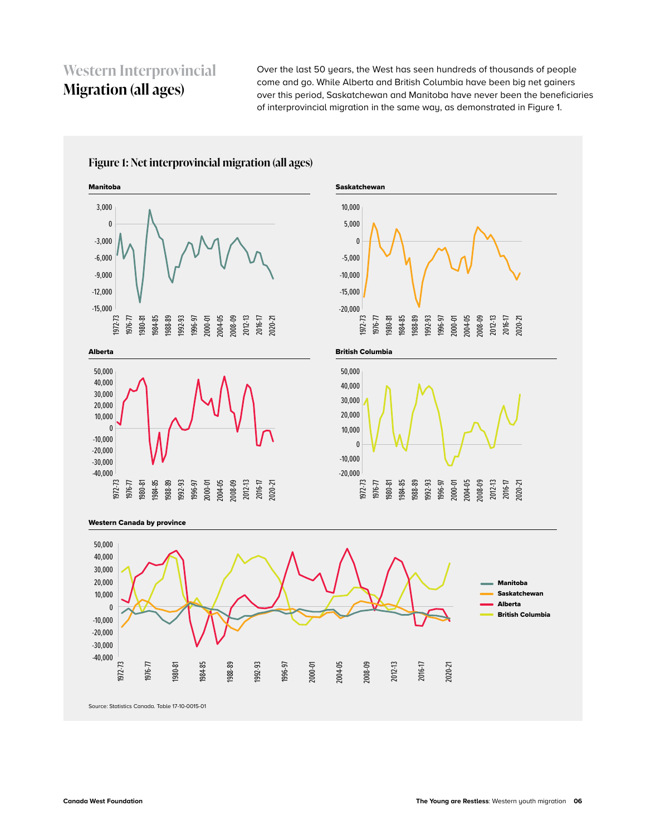## <span id="page-7-0"></span>**Western Interprovincial Migration (all ages)**

Over the last 50 years, the West has seen hundreds of thousands of people come and go. While Alberta and British Columbia have been big net gainers over this period, Saskatchewan and Manitoba have never been the beneficiaries of interprovincial migration in the same way, as demonstrated in Figure 1.

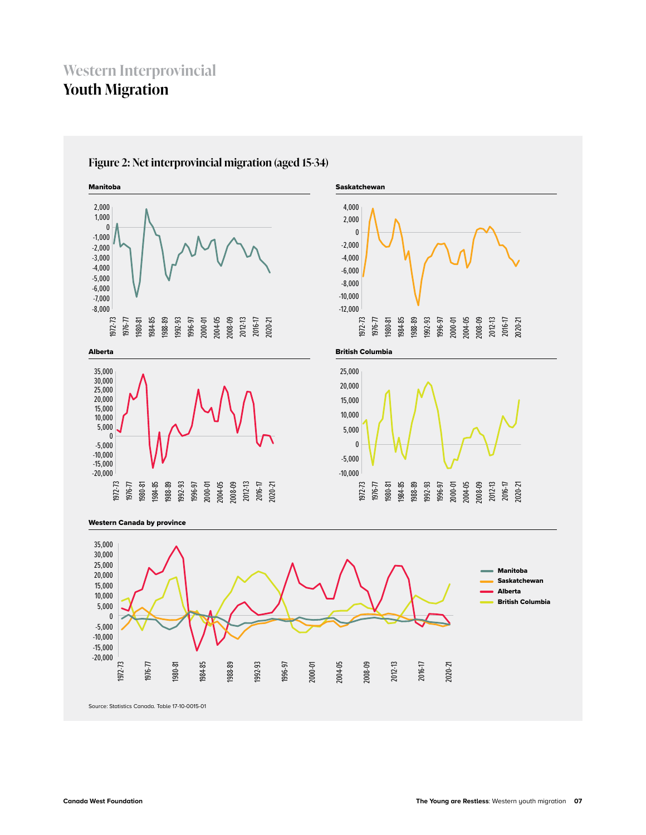## <span id="page-8-0"></span>**Western Interprovincial Youth Migration**



#### **Figure 2: Net interprovincial migration (aged 15-34)**

Source: Statistics Canada. Table 17-10-0015-01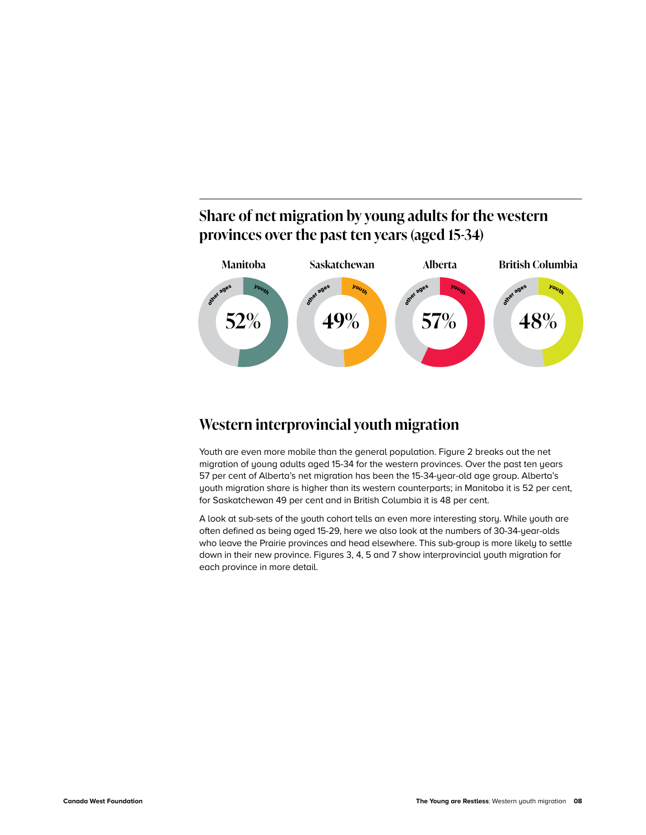## **Share of net migration by young adults for the western provinces over the past ten years (aged 15-34)**



### **Western interprovincial youth migration**

Youth are even more mobile than the general population. Figure 2 breaks out the net migration of young adults aged 15-34 for the western provinces. Over the past ten years 57 per cent of Alberta's net migration has been the 15-34-year-old age group. Alberta's youth migration share is higher than its western counterparts; in Manitoba it is 52 per cent, for Saskatchewan 49 per cent and in British Columbia it is 48 per cent.

A look at sub-sets of the youth cohort tells an even more interesting story. While youth are often defined as being aged 15-29, here we also look at the numbers of 30-34-year-olds who leave the Prairie provinces and head elsewhere. This sub-group is more likely to settle down in their new province. Figures 3, 4, 5 and 7 show interprovincial youth migration for each province in more detail.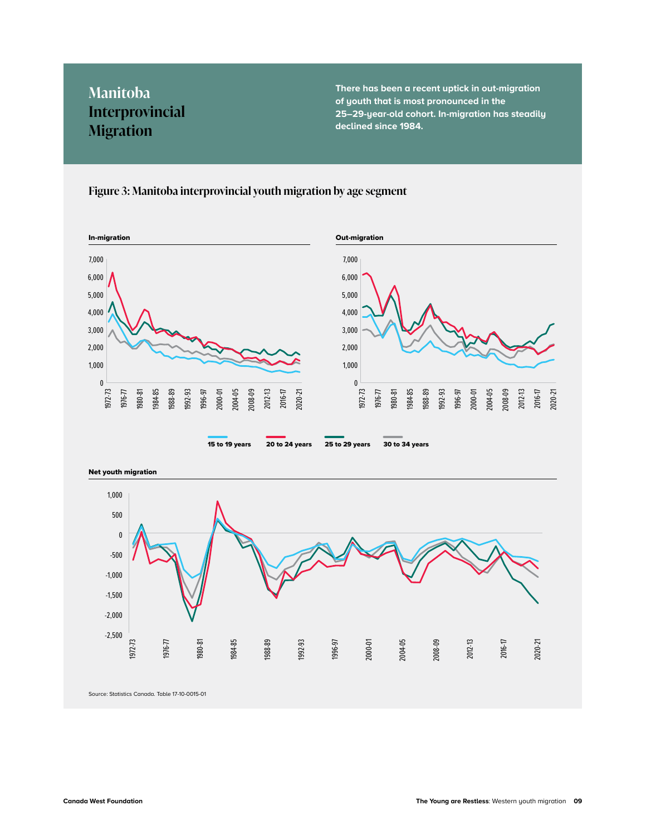## <span id="page-10-0"></span>**Manitoba Interprovincial Migration**

**There has been a recent uptick in out-migration of youth that is most pronounced in the 25–29-year-old cohort. In-migration has steadily declined since 1984.** 

#### **Figure 3: Manitoba interprovincial youth migration by age segment**



-2,500 -2,000 -1,500

1972-73

Source: Statistics Canada. Table 17-10-0015-01

1976-77

1980-81

1984-85

1988-89

1992-93

1996-97

2000-01

2004-05

2008-09

2012-13

2016-17

2020-21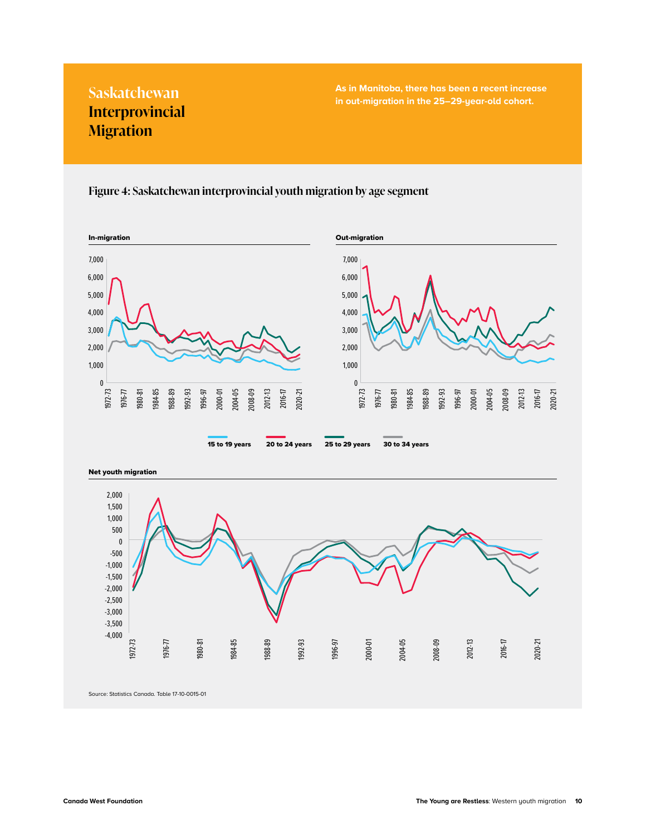## **Interprovincial Migration**

<span id="page-11-0"></span>**As in Manitoba, there has been a recent increase in Manitoba, there has been a recent increases Saskatchewan and Saskatchewan and Saskatchewan and Saskatchewan <br>
<b>Saskatchewan in out-migration in the 25–29-year-old cohort.** 

#### **Figure 4: Saskatchewan interprovincial youth migration by age segment**





Source: Statistics Canada. Table 17-10-0015-01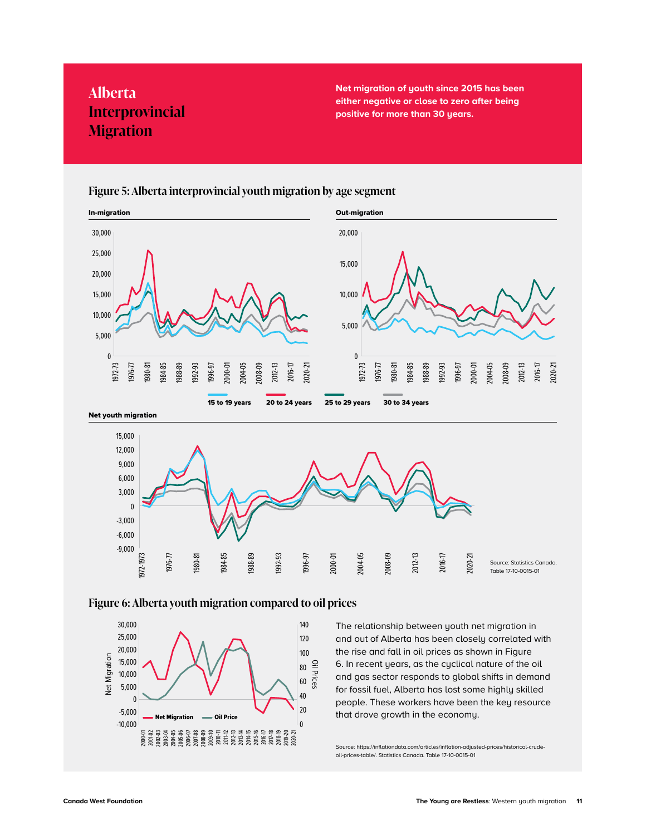## <span id="page-12-0"></span>**Alberta Interprovincial Migration**

**Net migration of youth since 2015 has been either negative or close to zero after being positive for more than 30 years.** 



#### **Figure 5: Alberta interprovincial youth migration by age segment**



#### **Figure 6: Alberta youth migration compared to oil prices**



The relationship between youth net migration in and out of Alberta has been closely correlated with the rise and fall in oil prices as shown in Figure 6. In recent years, as the cyclical nature of the oil and gas sector responds to global shifts in demand for fossil fuel, Alberta has lost some highly skilled people. These workers have been the key resource that drove growth in the economy.

Source: [https://inflationdata.com/articles/inflation-adjusted-prices/historical-crude](https://inflationdata.com/articles/inflation-adjusted-prices/historical-crude-oil-prices-table/)[oil-prices-table/](https://inflationdata.com/articles/inflation-adjusted-prices/historical-crude-oil-prices-table/). Statistics Canada. Table 17-10-0015-01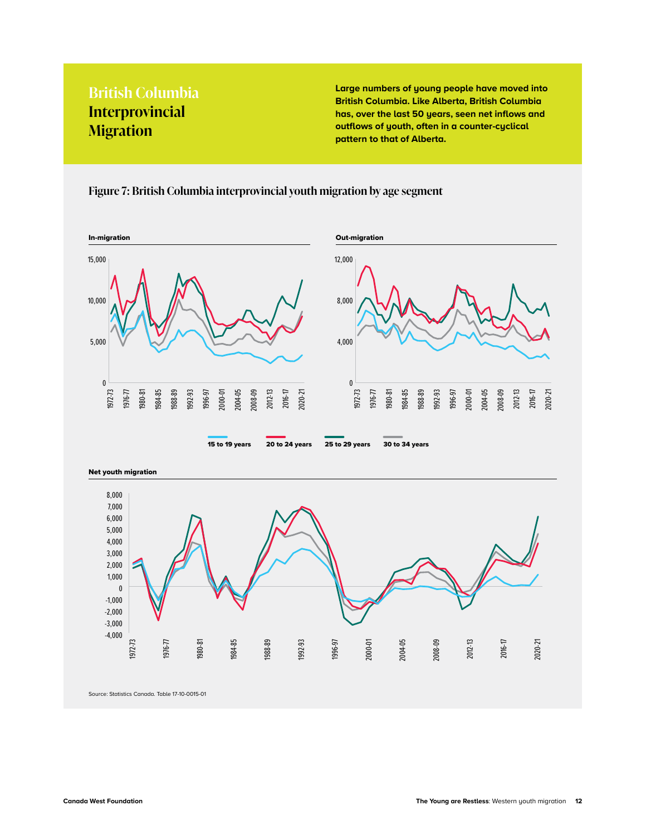## <span id="page-13-0"></span>**British Columbia Interprovincial Migration**

**Large numbers of young people have moved into British Columbia. Like Alberta, British Columbia has, over the last 50 years, seen net inflows and outflows of youth, often in a counter-cyclical pattern to that of Alberta.** 

#### $\theta$ 5,000 10,000 15,000 1980-81 1984-85 1988-89 1992-93 1996-97 2000-01 2004-05 2008-09 2012-13 2016-17 2020-21 1972-73 1976-77  $\mathbf 0$ 4,000 8,000 12,000 1980-81 1984-85 1988-89 1992-93 1996-97 2000-01 2004-05 2008-09 2012-13 2016-17 2020-21 1972-73 1976-77 In-migration Out-migration 15 to 19 years 20 to 24 years 25 to 29 years 30 to 34 years

**Figure 7: British Columbia interprovincial youth migration by age segment**



Source: Statistics Canada. Table 17-10-0015-01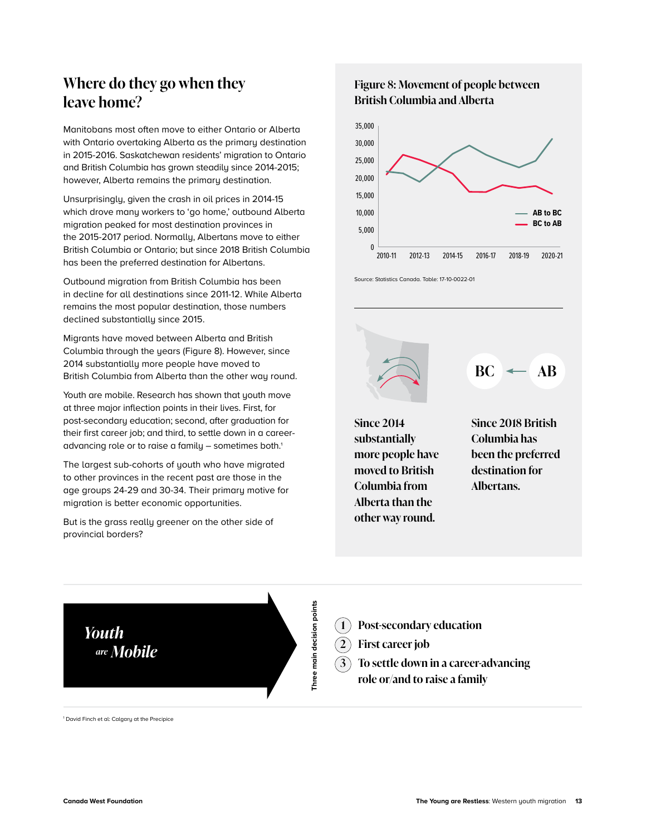## <span id="page-14-0"></span>**Where do they go when they leave home?**

Manitobans most often move to either Ontario or Alberta with Ontario overtaking Alberta as the primary destination in 2015-2016. Saskatchewan residents' migration to Ontario and British Columbia has grown steadily since 2014-2015; however, Alberta remains the primary destination.

Unsurprisingly, given the crash in oil prices in 2014-15 which drove many workers to 'go home,' outbound Alberta migration peaked for most destination provinces in the 2015-2017 period. Normally, Albertans move to either British Columbia or Ontario; but since 2018 British Columbia has been the preferred destination for Albertans.

Outbound migration from British Columbia has been in decline for all destinations since 2011-12. While Alberta remains the most popular destination, those numbers declined substantially since 2015.

Migrants have moved between Alberta and British Columbia through the years (Figure 8). However, since 2014 substantially more people have moved to British Columbia from Alberta than the other way round.

Youth are mobile. Research has shown that youth move at three major inflection points in their lives. First, for post-secondary education; second, after graduation for their first career job; and third, to settle down in a careeradvancing role or to raise a family  $-$  sometimes both.<sup>1</sup>

The largest sub-cohorts of youth who have migrated to other provinces in the recent past are those in the age groups 24-29 and 30-34. Their primary motive for migration is better economic opportunities.

But is the grass really greener on the other side of provincial borders?

#### **Figure 8: Movement of people between British Columbia and Alberta**



Source: Statistics Canada. Table: 17-10-0022-01



**Since 2014 substantially more people have moved to British Columbia from Alberta than the other way round.**





1 David Finch et al: Calgary at the Precipice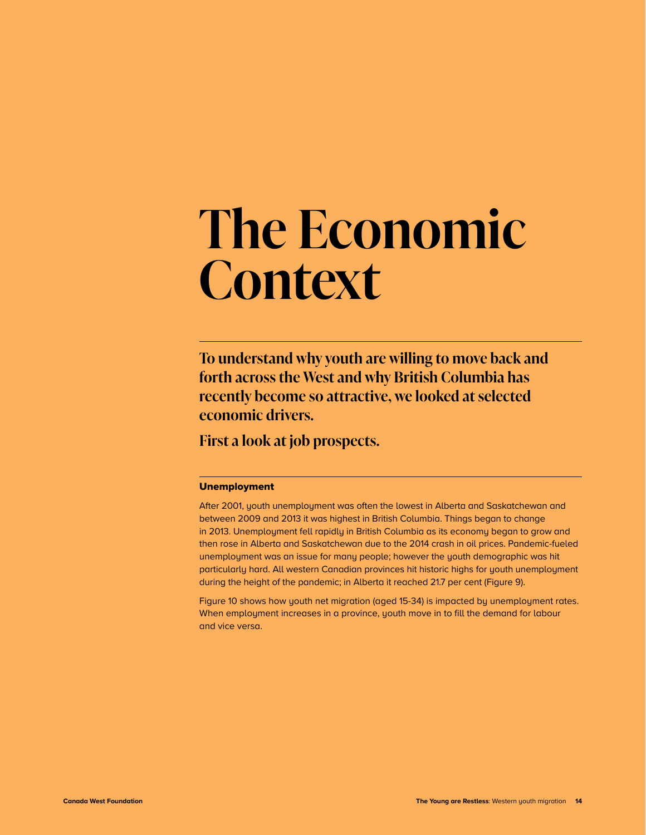## <span id="page-15-0"></span>**The Economic Context**

**To understand why youth are willing to move back and forth across the West and why British Columbia has recently become so attractive, we looked at selected economic drivers.**

**First a look at job prospects.**

#### Unemployment

After 2001, youth unemployment was often the lowest in Alberta and Saskatchewan and between 2009 and 2013 it was highest in British Columbia. Things began to change in 2013. Unemployment fell rapidly in British Columbia as its economy began to grow and then rose in Alberta and Saskatchewan due to the 2014 crash in oil prices. Pandemic-fueled unemployment was an issue for many people; however the youth demographic was hit particularly hard. All western Canadian provinces hit historic highs for youth unemployment during the height of the pandemic; in Alberta it reached 21.7 per cent (Figure 9).

Figure 10 shows how youth net migration (aged 15-34) is impacted by unemployment rates. When employment increases in a province, youth move in to fill the demand for labour and vice versa.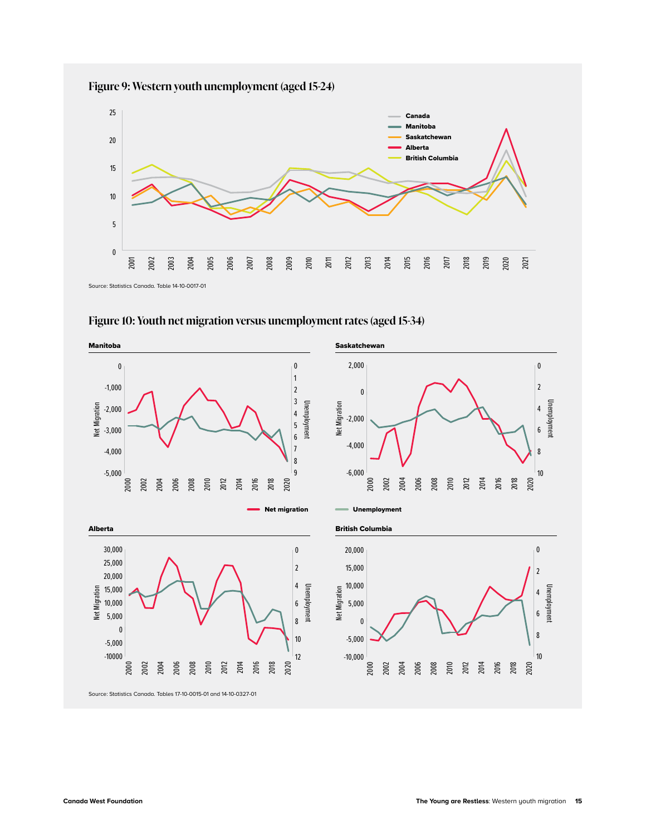





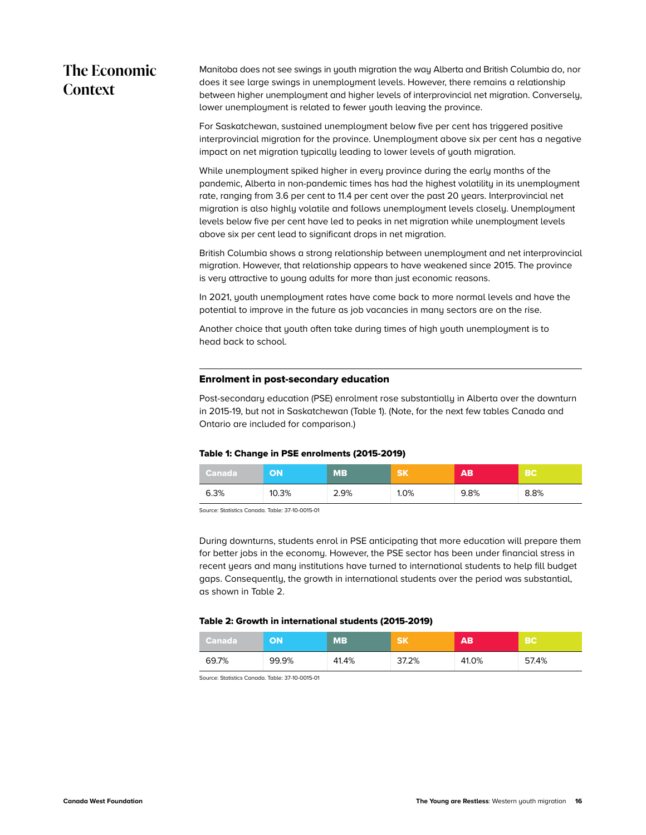## <span id="page-17-0"></span>**The Economic Context**

Manitoba does not see swings in youth migration the way Alberta and British Columbia do, nor does it see large swings in unemployment levels. However, there remains a relationship between higher unemployment and higher levels of interprovincial net migration. Conversely, lower unemployment is related to fewer youth leaving the province.

For Saskatchewan, sustained unemployment below five per cent has triggered positive interprovincial migration for the province. Unemployment above six per cent has a negative impact on net migration typically leading to lower levels of youth migration.

While unemployment spiked higher in every province during the early months of the pandemic, Alberta in non-pandemic times has had the highest volatility in its unemployment rate, ranging from 3.6 per cent to 11.4 per cent over the past 20 years. Interprovincial net migration is also highly volatile and follows unemployment levels closely. Unemployment levels below five per cent have led to peaks in net migration while unemployment levels above six per cent lead to significant drops in net migration.

British Columbia shows a strong relationship between unemployment and net interprovincial migration. However, that relationship appears to have weakened since 2015. The province is very attractive to young adults for more than just economic reasons.

In 2021, youth unemployment rates have come back to more normal levels and have the potential to improve in the future as job vacancies in many sectors are on the rise.

Another choice that youth often take during times of high youth unemployment is to head back to school.

#### Enrolment in post-secondary education

Post-secondary education (PSE) enrolment rose substantially in Alberta over the downturn in 2015-19, but not in Saskatchewan (Table 1). (Note, for the next few tables Canada and Ontario are included for comparison.)

#### Table 1: Change in PSE enrolments (2015-2019)

| Canada | ΟN    | <b>MB</b> | <b>SK</b> | AB.  | ∖ BC' |
|--------|-------|-----------|-----------|------|-------|
| 6.3%   | 10.3% | 2.9%      | 1.0%      | 9.8% | 8.8%  |

Source: Statistics Canada. Table: 37-10-0015-01

During downturns, students enrol in PSE anticipating that more education will prepare them for better jobs in the economy. However, the PSE sector has been under financial stress in recent years and many institutions have turned to international students to help fill budget gaps. Consequently, the growth in international students over the period was substantial, as shown in Table 2.

#### Table 2: Growth in international students (2015-2019)

| Canada ' | ON    | <b>MB</b> | <b>SK</b> | AВ    | <b>BC</b> |
|----------|-------|-----------|-----------|-------|-----------|
| 69.7%    | 99.9% | 41.4%     | 37.2%     | 41.0% | 57.4%     |

Source: Statistics Canada. Table: 37-10-0015-01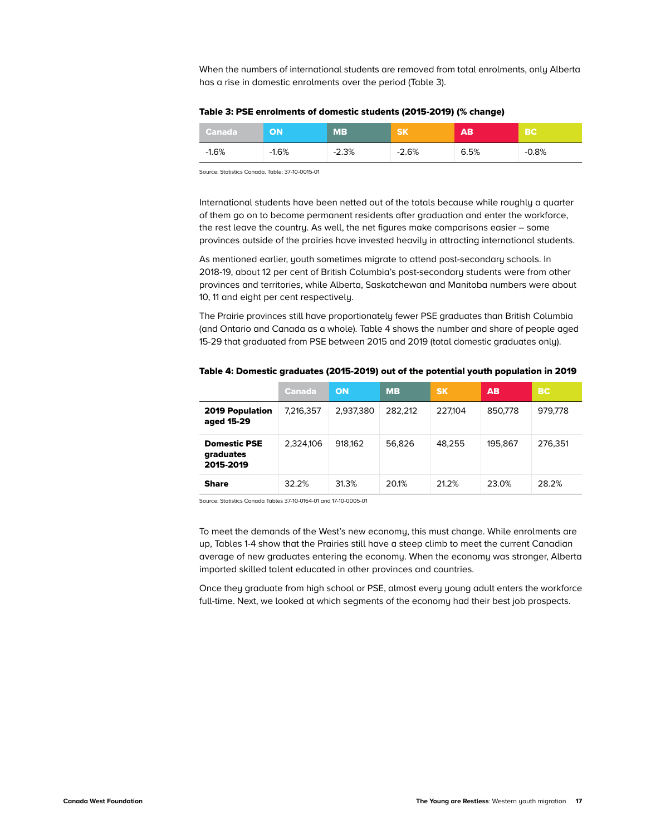When the numbers of international students are removed from total enrolments, only Alberta has a rise in domestic enrolments over the period (Table 3).

| Table 3: PSE enrolments of domestic students (2015-2019) (% change) |  |
|---------------------------------------------------------------------|--|
|---------------------------------------------------------------------|--|

| Canada <sup>1</sup> |         | <b>MB</b> | <b>SK</b> | AB.  | <b>BC</b> |
|---------------------|---------|-----------|-----------|------|-----------|
| $-1.6%$             | $-1.6%$ | $-2.3%$   | $-2.6%$   | 6.5% | $-0.8%$   |

Source: Statistics Canada. Table: 37-10-0015-01

International students have been netted out of the totals because while roughly a quarter of them go on to become permanent residents after graduation and enter the workforce, the rest leave the country. As well, the net figures make comparisons easier – some provinces outside of the prairies have invested heavily in attracting international students.

As mentioned earlier, youth sometimes migrate to attend post-secondary schools. In 2018-19, about 12 per cent of British Columbia's post-secondary students were from other provinces and territories, while Alberta, Saskatchewan and Manitoba numbers were about 10, 11 and eight per cent respectively.

The Prairie provinces still have proportionately fewer PSE graduates than British Columbia (and Ontario and Canada as a whole). Table 4 shows the number and share of people aged 15-29 that graduated from PSE between 2015 and 2019 (total domestic graduates only).

|                                               | <b>Canada</b> | <b>ON</b> | <b>MB</b> | <b>SK</b> | AB.     | <b>BC</b> |
|-----------------------------------------------|---------------|-----------|-----------|-----------|---------|-----------|
| <b>2019 Population</b><br>aged 15-29          | 7,216,357     | 2,937,380 | 282.212   | 227.104   | 850.778 | 979.778   |
| <b>Domestic PSE</b><br>graduates<br>2015-2019 | 2,324,106     | 918.162   | 56.826    | 48.255    | 195.867 | 276.351   |
| <b>Share</b>                                  | 32.2%         | 31.3%     | 20.1%     | 21.2%     | 23.0%   | 28.2%     |

Table 4: Domestic graduates (2015-2019) out of the potential youth population in 2019

Source: Statistics Canada Tables 37-10-0164-01 and 17-10-0005-01

To meet the demands of the West's new economy, this must change. While enrolments are up, Tables 1-4 show that the Prairies still have a steep climb to meet the current Canadian average of new graduates entering the economy. When the economy was stronger, Alberta imported skilled talent educated in other provinces and countries.

Once they graduate from high school or PSE, almost every young adult enters the workforce full-time. Next, we looked at which segments of the economy had their best job prospects.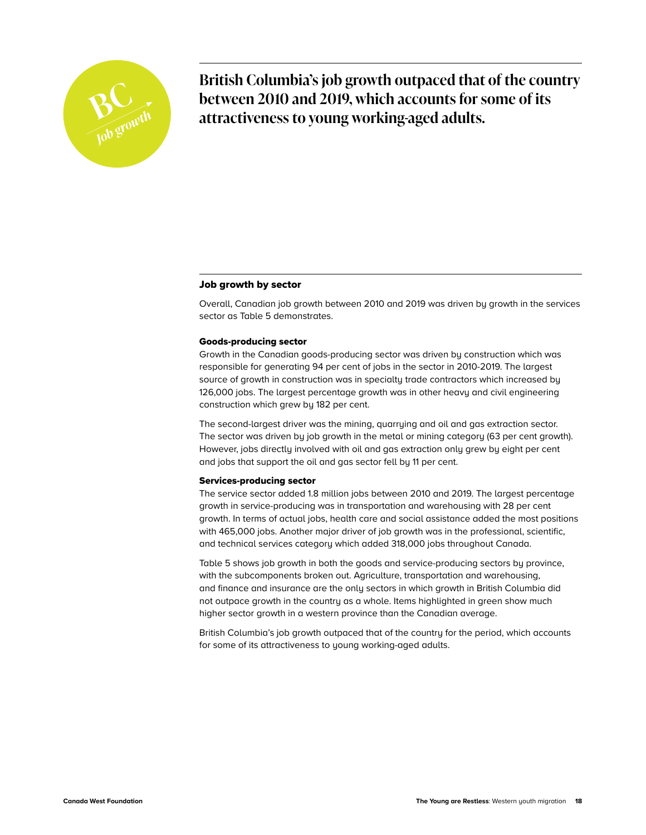<span id="page-19-0"></span>

**British Columbia's job growth outpaced that of the country between 2010 and 2019, which accounts for some of its** attractiveness to young working-aged adults. **attractiveness to young working-aged adults.** *Job growth*

#### Job growth by sector

Overall, Canadian job growth between 2010 and 2019 was driven by growth in the services sector as Table 5 demonstrates.

#### Goods-producing sector

Growth in the Canadian goods-producing sector was driven by construction which was responsible for generating 94 per cent of jobs in the sector in 2010-2019. The largest source of growth in construction was in specialty trade contractors which increased by 126,000 jobs. The largest percentage growth was in other heavy and civil engineering construction which grew by 182 per cent.

The second-largest driver was the mining, quarrying and oil and gas extraction sector. The sector was driven by job growth in the metal or mining category (63 per cent growth). However, jobs directly involved with oil and gas extraction only grew by eight per cent and jobs that support the oil and gas sector fell by 11 per cent.

#### Services-producing sector

The service sector added 1.8 million jobs between 2010 and 2019. The largest percentage growth in service-producing was in transportation and warehousing with 28 per cent growth. In terms of actual jobs, health care and social assistance added the most positions with 465,000 jobs. Another major driver of job growth was in the professional, scientific, and technical services category which added 318,000 jobs throughout Canada.

Table 5 shows job growth in both the goods and service-producing sectors by province, with the subcomponents broken out. Agriculture, transportation and warehousing, and finance and insurance are the only sectors in which growth in British Columbia did not outpace growth in the country as a whole. Items highlighted in green show much higher sector growth in a western province than the Canadian average.

British Columbia's job growth outpaced that of the country for the period, which accounts for some of its attractiveness to young working-aged adults.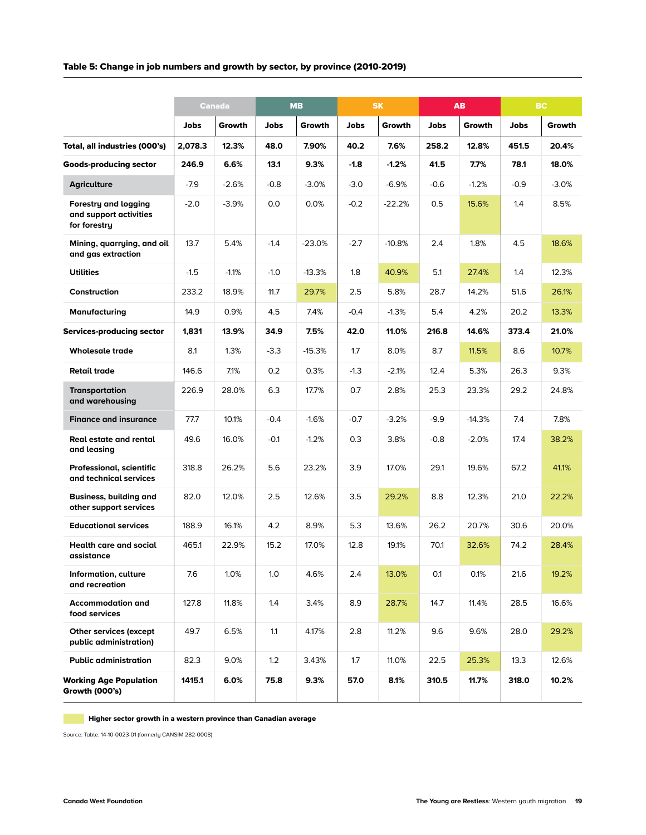#### Table 5: Change in job numbers and growth by sector, by province (2010-2019)

|                                                                | <b>Canada</b> |         | <b>MB</b> |          | <b>SK</b> |          | AB     |          | <b>BC</b> |         |
|----------------------------------------------------------------|---------------|---------|-----------|----------|-----------|----------|--------|----------|-----------|---------|
|                                                                | Jobs          | Growth  | Jobs      | Growth   | Jobs      | Growth   | Jobs   | Growth   | Jobs      | Growth  |
| Total, all industries (000's)                                  | 2,078.3       | 12.3%   | 48.0      | 7.90%    | 40.2      | 7.6%     | 258.2  | 12.8%    | 451.5     | 20.4%   |
| <b>Goods-producing sector</b>                                  | 246.9         | 6.6%    | 13.1      | 9.3%     | $-1.8$    | $-1.2%$  | 41.5   | 7.7%     | 78.1      | 18.0%   |
| <b>Agriculture</b>                                             | $-7.9$        | $-2.6%$ | $-0.8$    | $-3.0%$  | $-3.0$    | $-6.9%$  | $-0.6$ | $-1.2%$  | $-0.9$    | $-3.0%$ |
| Forestry and logging<br>and support activities<br>for forestry | $-2.0$        | $-3.9%$ | 0.0       | 0.0%     | $-0.2$    | $-22.2%$ | 0.5    | 15.6%    | 1.4       | 8.5%    |
| Mining, guarrying, and oil<br>and gas extraction               | 13.7          | 5.4%    | $-1.4$    | $-23.0%$ | $-2.7$    | $-10.8%$ | 2.4    | 1.8%     | 4.5       | 18.6%   |
| <b>Utilities</b>                                               | $-1.5$        | $-1.1%$ | $-1.0$    | $-13.3%$ | 1.8       | 40.9%    | 5.1    | 27.4%    | 1.4       | 12.3%   |
| Construction                                                   | 233.2         | 18.9%   | 11.7      | 29.7%    | 2.5       | 5.8%     | 28.7   | 14.2%    | 51.6      | 26.1%   |
| Manufacturing                                                  | 14.9          | 0.9%    | 4.5       | 7.4%     | $-0.4$    | $-1.3%$  | 5.4    | 4.2%     | 20.2      | 13.3%   |
| <b>Services-producing sector</b>                               | 1,831         | 13.9%   | 34.9      | 7.5%     | 42.0      | 11.0%    | 216.8  | 14.6%    | 373.4     | 21.0%   |
| <b>Wholesale trade</b>                                         | 8.1           | 1.3%    | $-3.3$    | $-15.3%$ | 1.7       | 8.0%     | 8.7    | 11.5%    | 8.6       | 10.7%   |
| <b>Retail trade</b>                                            | 146.6         | 7.1%    | 0.2       | 0.3%     | $-1.3$    | $-2.1%$  | 12.4   | 5.3%     | 26.3      | 9.3%    |
| <b>Transportation</b><br>and warehousing                       | 226.9         | 28.0%   | 6.3       | 17.7%    | 0.7       | 2.8%     | 25.3   | 23.3%    | 29.2      | 24.8%   |
| <b>Finance and insurance</b>                                   | 77.7          | 10.1%   | $-0.4$    | $-1.6%$  | $-0.7$    | $-3.2%$  | $-9.9$ | $-14.3%$ | 7.4       | 7.8%    |
| Real estate and rental<br>and leasing                          | 49.6          | 16.0%   | $-0.1$    | $-1.2%$  | 0.3       | 3.8%     | $-0.8$ | $-2.0%$  | 17.4      | 38.2%   |
| Professional, scientific<br>and technical services             | 318.8         | 26.2%   | 5.6       | 23.2%    | 3.9       | 17.0%    | 29.1   | 19.6%    | 67.2      | 41.1%   |
| Business, building and<br>other support services               | 82.0          | 12.0%   | 2.5       | 12.6%    | 3.5       | 29.2%    | 8.8    | 12.3%    | 21.0      | 22.2%   |
| <b>Educational services</b>                                    | 188.9         | 16.1%   | 4.2       | 8.9%     | 5.3       | 13.6%    | 26.2   | 20.7%    | 30.6      | 20.0%   |
| <b>Health care and social</b><br>assistance                    | 465.1         | 22.9%   | 15.2      | 17.0%    | 12.8      | 19.1%    | 70.1   | 32.6%    | 74.2      | 28.4%   |
| Information, culture<br>and recreation                         | 7.6           | 1.0%    | 1.0       | 4.6%     | 2.4       | 13.0%    | 0.1    | 0.1%     | 21.6      | 19.2%   |
| <b>Accommodation and</b><br>food services                      | 127.8         | 11.8%   | 1.4       | 3.4%     | 8.9       | 28.7%    | 14.7   | 11.4%    | 28.5      | 16.6%   |
| <b>Other services (except</b><br>public administration)        | 49.7          | 6.5%    | 1.1       | 4.17%    | 2.8       | 11.2%    | 9.6    | 9.6%     | 28.0      | 29.2%   |
| <b>Public administration</b>                                   | 82.3          | 9.0%    | 1.2       | 3.43%    | 1.7       | 11.0%    | 22.5   | 25.3%    | 13.3      | 12.6%   |
| <b>Working Age Population</b><br>Growth (000's)                | 1415.1        | 6.0%    | 75.8      | 9.3%     | 57.0      | 8.1%     | 310.5  | 11.7%    | 318.0     | 10.2%   |

**Higher sector growth in a western province than Canadian average** 

Source: Table: 14-10-0023-01 (formerly CANSIM 282-0008)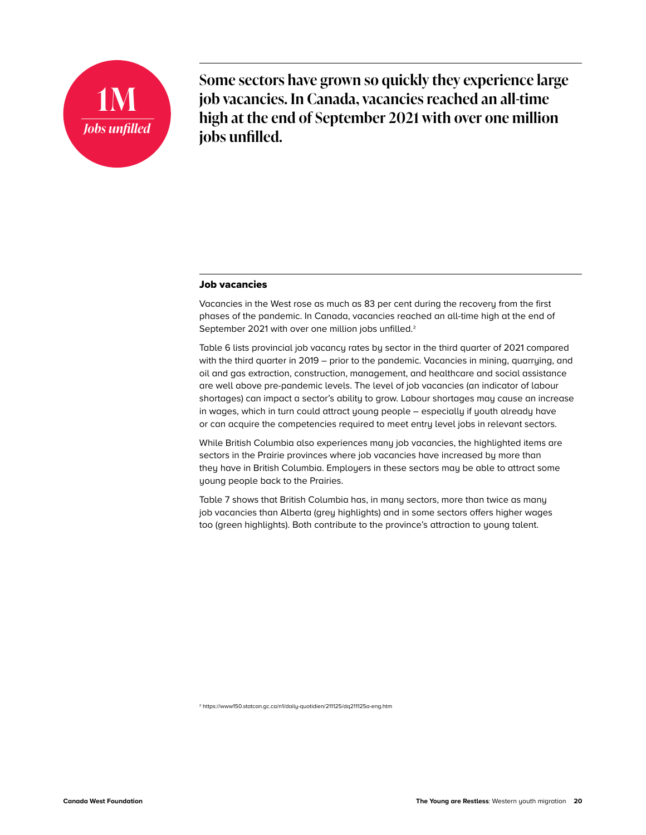<span id="page-21-0"></span>

**Some sectors have grown so quickly they experience large job vacancies. In Canada, vacancies reached an all-time high at the end of September 2021 with over one million jobs unfilled.**

#### Job vacancies

Vacancies in the West rose as much as 83 per cent during the recovery from the first phases of the pandemic. In Canada, vacancies reached an all-time high at the end of September 2021 with over one million jobs unfilled.<sup>2</sup>

Table 6 lists provincial job vacancy rates by sector in the third quarter of 2021 compared with the third quarter in 2019 – prior to the pandemic. Vacancies in mining, quarrying, and oil and gas extraction, construction, management, and healthcare and social assistance are well above pre-pandemic levels. The level of job vacancies (an indicator of labour shortages) can impact a sector's ability to grow. Labour shortages may cause an increase in wages, which in turn could attract young people – especially if youth already have or can acquire the competencies required to meet entry level jobs in relevant sectors.

While British Columbia also experiences many job vacancies, the highlighted items are sectors in the Prairie provinces where job vacancies have increased by more than they have in British Columbia. Employers in these sectors may be able to attract some young people back to the Prairies.

Table 7 shows that British Columbia has, in many sectors, more than twice as many job vacancies than Alberta (grey highlights) and in some sectors offers higher wages too (green highlights). Both contribute to the province's attraction to young talent.

2<https://www150.statcan.gc.ca/n1/daily-quotidien/211125/dq211125a-eng.htm>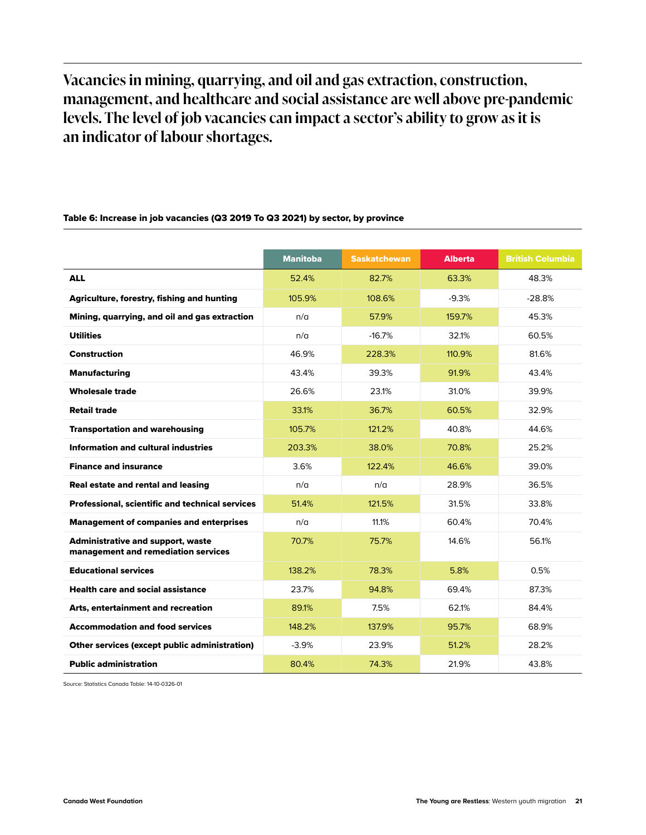**Vacancies in mining, quarrying, and oil and gas extraction, construction, management, and healthcare and social assistance are well above pre-pandemic levels. The level of job vacancies can impact a sector's ability to grow as it is an indicator of labour shortages.**

## Manitoba **Saskatchewan Alberta British Columbia** ALL 52.4% 82.7% 63.3% 48.3% Agriculture, forestry, fishing and hunting 105.9% 108.6% -9.3% -9.3% -28.8% **Mining, quarrying, and oil and gas extraction**  $n/a$   $\qquad 57.9\%$  159.7%  $\qquad$  45.3% Utilities n/a -16.7% 32.1% 60.5% Construction 46.9% 228.3% 110.9% 81.6% **Manufacturing 13.4% 43.4% 13.4% 91.9% 43.4% 43.4%** 91.9% 43.4% **Wholesale trade** 26.6% 23.1% 31.0% 39.9% **Retail trade** 32.9% **33.1% 36.7% 36.7% 36.5% 32.9%** 32.9% **Transportation and warehousing 105.7% 121.2% 121.2% 40.8% 144.6%** Information and cultural industries 18.0% 203.3% 25.2% 25.2% 25.2% 25.2% 25.2% 25.2% 25.2% 25.2% 25.2% 25.2% 25.2% **Finance and insurance 122.4% 122.4% 122.4% 122.4% 122.4% 122.4% 122.4% 123.0% 123.0% 123.0% 123.0% 123.0% 123.0 Real estate and rental and leasing the contract of the contract of the contract of the contract of the contract of the contract of the contract of the contract of the contract of the contract of the contract of the contr Professional, scientific and technical services and the services 31.4% 121.5% 31.5% 33.8% 33.8%** Management of companies and enterprises  $n/a$  11.1% 60.4% 70.4% Administrative and support, waste management and remediation services 70.7% 75.7% 14.6% 56.1% Educational services and the control of the control of the control of the control of the control of the control of the control of the control of the control of the control of the control of the control of the control of th **Health care and social assistance** 23.7% 84.8% 69.4% 87.3% 87.3% Arts, entertainment and recreation **89.1%** 7.5% 62.1% 84.4% Accommodation and food services 148.2% 137.9% 95.7% 68.9% **Other services (except public administration)**  $-3.9\%$  23.9% 51.2% 28.2% **Public administration** 13.8% **80.4% 74.3% 21.9%** 21.9% 43.8%

#### Table 6: Increase in job vacancies (Q3 2019 To Q3 2021) by sector, by province

Source: Statistics Canada Table: 14-10-0326-01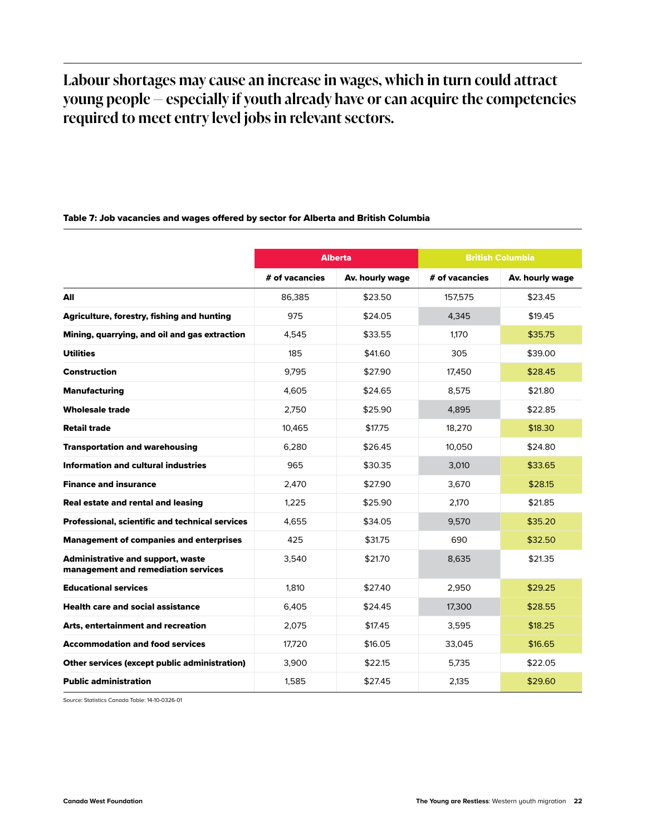## **Labour shortages may cause an increase in wages, which in turn could attract young people — especially if youth already have or can acquire the competencies required to meet entry level jobs in relevant sectors.**

#### Table 7: Job vacancies and wages offered by sector for Alberta and British Columbia

|                                                                                 |                | Alberta         |                | <b>British Columbia</b> |  |
|---------------------------------------------------------------------------------|----------------|-----------------|----------------|-------------------------|--|
|                                                                                 | # of vacancies | Av. hourly wage | # of vacancies | Av. hourly wage         |  |
| All                                                                             | 86.385         | \$23.50         | 157.575        | \$23.45                 |  |
| <b>Agriculture, forestry, fishing and hunting</b>                               | 975            | \$24.05         | 4.345          | \$19.45                 |  |
| Mining, quarrying, and oil and gas extraction                                   | 4,545          | \$33.55         | 1.170          | \$35.75                 |  |
| <b>Utilities</b>                                                                | 185            | \$41.60         | 305            | \$39.00                 |  |
| Construction                                                                    | 9.795          | \$27.90         | 17,450         | \$28.45                 |  |
| <b>Manufacturing</b>                                                            | 4,605          | \$24.65         | 8,575          | \$21.80                 |  |
| <b>Wholesale trade</b>                                                          | 2.750          | \$25.90         | 4.895          | \$22.85                 |  |
| <b>Retail trade</b>                                                             | 10,465         | \$17.75         | 18,270         | \$18.30                 |  |
| <b>Transportation and warehousing</b>                                           | 6,280          | \$26.45         | 10,050         | \$24.80                 |  |
| Information and cultural industries                                             | 965            | \$30.35         | 3,010          | \$33.65                 |  |
| <b>Finance and insurance</b>                                                    | 2,470          | \$27.90         | 3,670          | \$28.15                 |  |
| Real estate and rental and leasing                                              | 1.225          | \$25.90         | 2.170          | \$21.85                 |  |
| Professional, scientific and technical services                                 | 4,655          | \$34.05         | 9,570          | \$35.20                 |  |
| <b>Management of companies and enterprises</b>                                  | 425            | \$31.75         | 690            | \$32.50                 |  |
| <b>Administrative and support, waste</b><br>management and remediation services | 3.540          | \$21.70         | 8,635          | \$21.35                 |  |
| <b>Educational services</b>                                                     | 1.810          | \$27.40         | 2.950          | \$29.25                 |  |
| <b>Health care and social assistance</b>                                        | 6,405          | \$24.45         | 17,300         | \$28.55                 |  |
| Arts, entertainment and recreation                                              | 2,075          | \$17.45         | 3,595          | \$18.25                 |  |
| <b>Accommodation and food services</b>                                          | 17,720         | \$16.05         | 33,045         | \$16.65                 |  |
| <b>Other services (except public administration)</b>                            | 3.900          | \$22.15         | 5.735          | \$22.05                 |  |
| <b>Public administration</b>                                                    | 1.585          | \$27.45         | 2.135          | \$29.60                 |  |

Source: Statistics Canada Table: 14-10-0326-01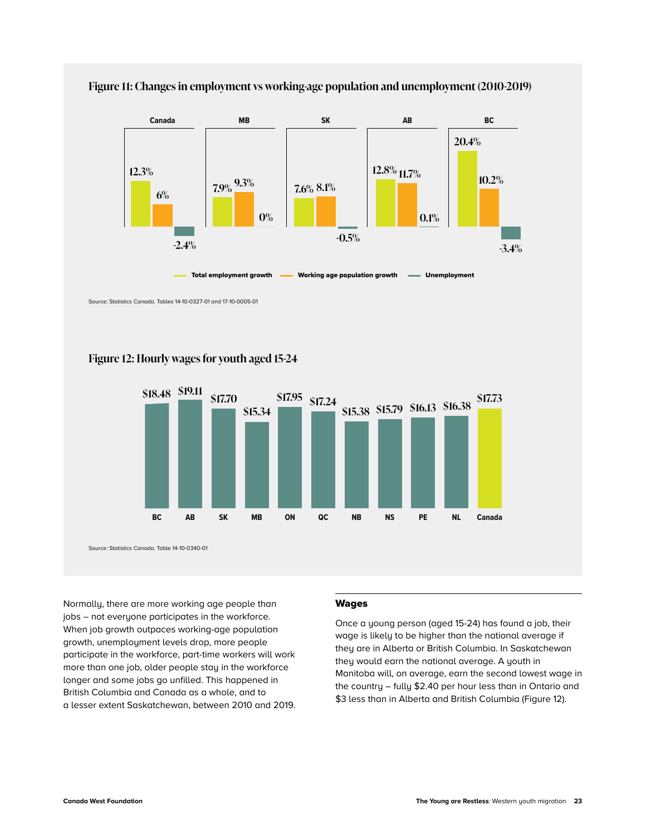

<span id="page-24-0"></span>

Source: Statistics Canada. Tables 14-10-0327-01 and 17-10-0005-01



#### **Figure 12: Hourly wages for youth aged 15-24**

Source: Statistics Canada. Table 14-10-0340-01

Normally, there are more working age people than jobs – not everyone participates in the workforce. When job growth outpaces working-age population growth, unemployment levels drop, more people participate in the workforce, part-time workers will work more than one job, older people stay in the workforce longer and some jobs go unfilled. This happened in British Columbia and Canada as a whole, and to a lesser extent Saskatchewan, between 2010 and 2019.

#### Wages

Once a young person (aged 15-24) has found a job, their wage is likely to be higher than the national average if they are in Alberta or British Columbia. In Saskatchewan they would earn the national average. A youth in Manitoba will, on average, earn the second lowest wage in the country – fully \$2.40 per hour less than in Ontario and \$3 less than in Alberta and British Columbia (Figure 12).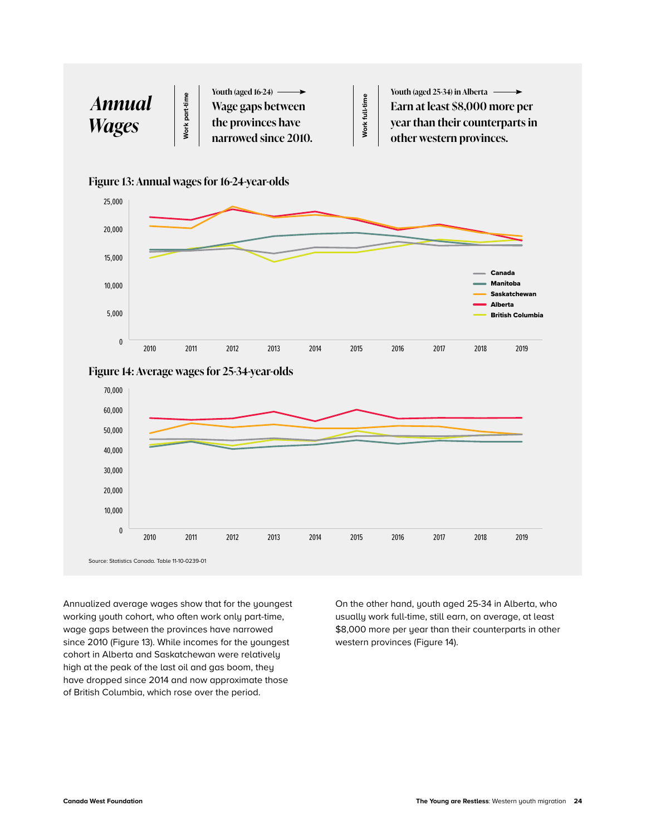









Annualized average wages show that for the youngest working youth cohort, who often work only part-time, wage gaps between the provinces have narrowed since 2010 (Figure 13). While incomes for the youngest cohort in Alberta and Saskatchewan were relatively high at the peak of the last oil and gas boom, they have dropped since 2014 and now approximate those of British Columbia, which rose over the period.

On the other hand, youth aged 25-34 in Alberta, who usually work full-time, still earn, on average, at least \$8,000 more per year than their counterparts in other western provinces (Figure 14).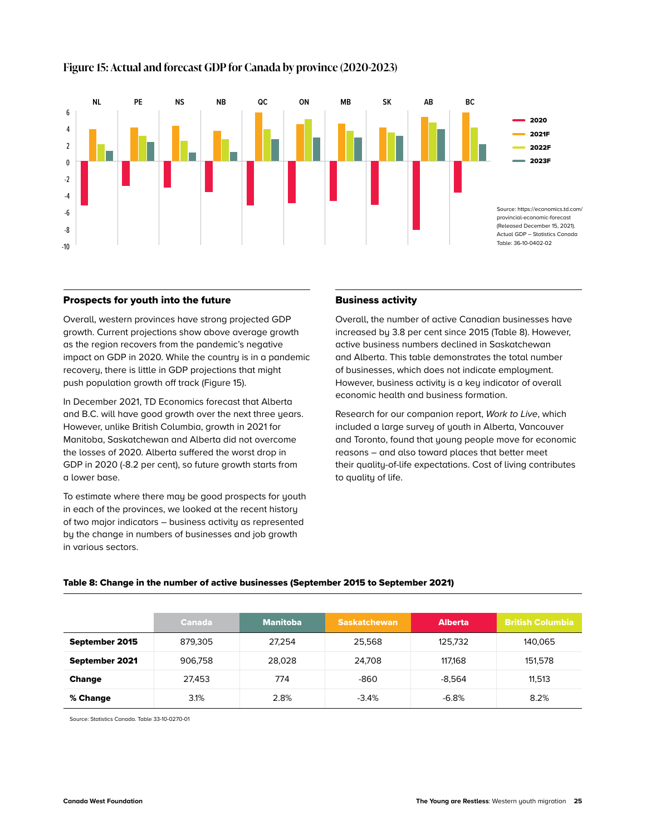

#### <span id="page-26-0"></span>**Figure 15: Actual and forecast GDP for Canada by province (2020-2023)**

#### Prospects for youth into the future

Overall, western provinces have strong projected GDP growth. Current projections show above average growth as the region recovers from the pandemic's negative impact on GDP in 2020. While the country is in a pandemic recovery, there is little in GDP projections that might push population growth off track (Figure 15).

In December 2021, TD Economics forecast that Alberta and B.C. will have good growth over the next three years. However, unlike British Columbia, growth in 2021 for Manitoba, Saskatchewan and Alberta did not overcome the losses of 2020. Alberta suffered the worst drop in GDP in 2020 (-8.2 per cent), so future growth starts from a lower base.

To estimate where there may be good prospects for youth in each of the provinces, we looked at the recent history of two major indicators – business activity as represented by the change in numbers of businesses and job growth in various sectors.

#### Business activity

Overall, the number of active Canadian businesses have increased by 3.8 per cent since 2015 (Table 8). However, active business numbers declined in Saskatchewan and Alberta. This table demonstrates the total number of businesses, which does not indicate employment. However, business activity is a key indicator of overall economic health and business formation.

Research for our companion report, *Work to Live*, which included a large survey of youth in Alberta, Vancouver and Toronto, found that young people move for economic reasons – and also toward places that better meet their quality-of-life expectations. Cost of living contributes to quality of life.

#### Table 8: Change in the number of active businesses (September 2015 to September 2021)

|                | <b>Canada</b> | <b>Manitoba</b> | <b>Saskatchewan</b> | <b>Alberta</b> | <b>British Columbia</b> |
|----------------|---------------|-----------------|---------------------|----------------|-------------------------|
|                |               |                 |                     |                |                         |
| September 2015 | 879.305       | 27.254          | 25.568              | 125.732        | 140.065                 |
| September 2021 | 906.758       | 28,028          | 24,708              | 117.168        | 151.578                 |
| <b>Change</b>  | 27.453        | 774             | -860                | $-8.564$       | 11.513                  |
| % Change       | 3.1%          | 2.8%            | $-3.4%$             | $-6.8%$        | 8.2%                    |

Source: Statistics Canada. Table 33-10-0270-01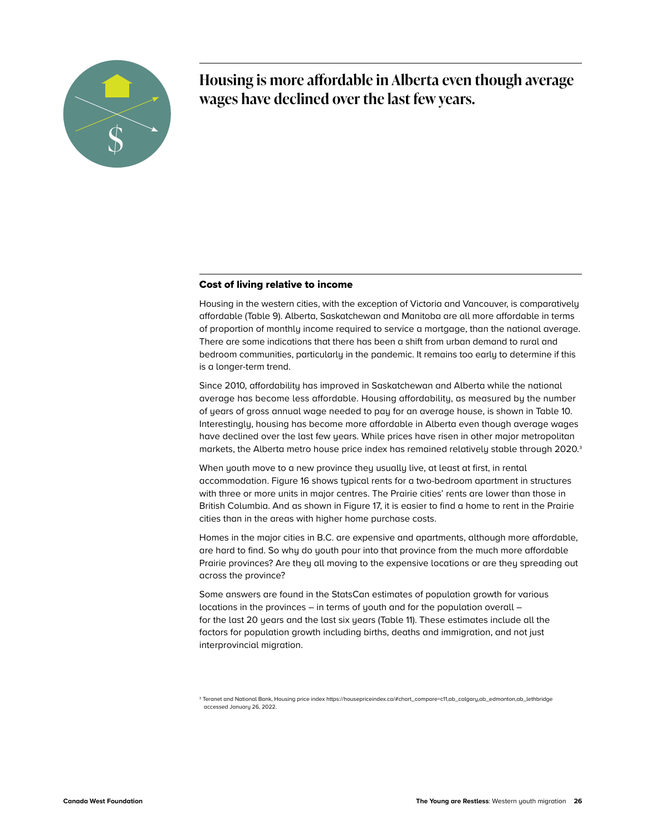

**Housing is more affordable in Alberta even though average wages have declined over the last few years.** 

#### Cost of living relative to income

Housing in the western cities, with the exception of Victoria and Vancouver, is comparatively affordable (Table 9). Alberta, Saskatchewan and Manitoba are all more affordable in terms of proportion of monthly income required to service a mortgage, than the national average. There are some indications that there has been a shift from urban demand to rural and bedroom communities, particularly in the pandemic. It remains too early to determine if this is a longer-term trend.

Since 2010, affordability has improved in Saskatchewan and Alberta while the national average has become less affordable. Housing affordability, as measured by the number of years of gross annual wage needed to pay for an average house, is shown in Table 10. Interestingly, housing has become more affordable in Alberta even though average wages have declined over the last few years. While prices have risen in other major metropolitan markets, the Alberta metro house price index has remained relatively stable through 2020.<sup>3</sup>

When youth move to a new province they usually live, at least at first, in rental accommodation. Figure 16 shows typical rents for a two-bedroom apartment in structures with three or more units in major centres. The Prairie cities' rents are lower than those in British Columbia. And as shown in Figure 17, it is easier to find a home to rent in the Prairie cities than in the areas with higher home purchase costs.

Homes in the major cities in B.C. are expensive and apartments, although more affordable, are hard to find. So why do youth pour into that province from the much more affordable Prairie provinces? Are they all moving to the expensive locations or are they spreading out across the province?

Some answers are found in the StatsCan estimates of population growth for various locations in the provinces – in terms of youth and for the population overall – for the last 20 years and the last six years (Table 11). These estimates include all the factors for population growth including births, deaths and immigration, and not just interprovincial migration.

3 Teranet and National Bank, Housing price index [https://housepriceindex.ca/#chart\\_compare=c11,ab\\_calgary,ab\\_edmonton,ab\\_lethbridge](https://housepriceindex.ca/#chart_compare=c11,ab_calgary,ab_edmonton,ab_lethbridge) accessed January 26, 2022.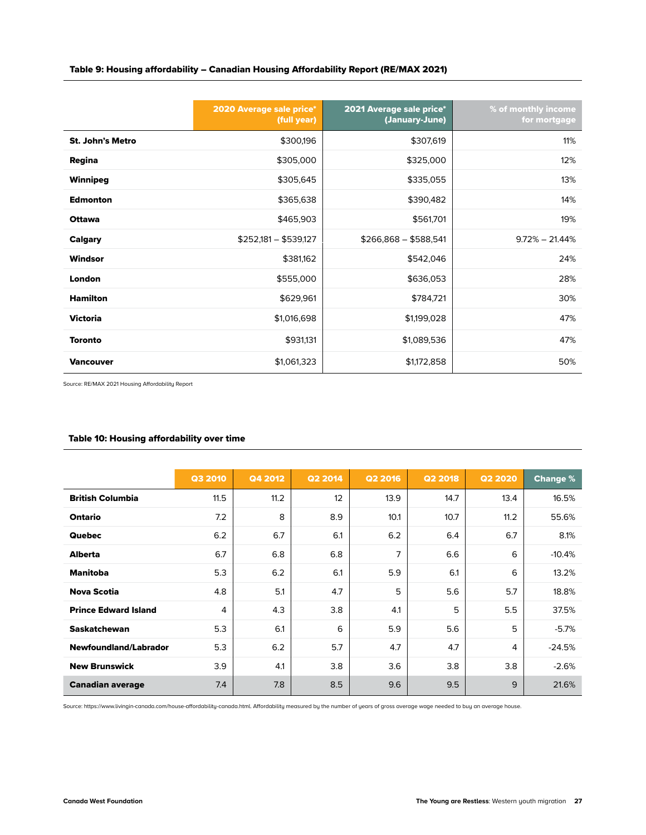<span id="page-28-0"></span>

|  | Table 9: Housing affordability – Canadian Housing Affordability Report (RE/MAX 2021) |  |
|--|--------------------------------------------------------------------------------------|--|
|--|--------------------------------------------------------------------------------------|--|

|                         | 2020 Average sale price*<br>(full year) | 2021 Average sale price*<br>(January-June) | % of monthly income<br>for mortgage |
|-------------------------|-----------------------------------------|--------------------------------------------|-------------------------------------|
| <b>St. John's Metro</b> | \$300,196                               | \$307,619                                  | 11%                                 |
| Regina                  | \$305,000                               | \$325,000                                  | 12%                                 |
| Winnipeg                | \$305,645                               | \$335,055                                  | 13%                                 |
| <b>Edmonton</b>         | \$365,638                               | \$390,482                                  | 14%                                 |
| <b>Ottawa</b>           | \$465,903                               | \$561,701                                  | 19%                                 |
| <b>Calgary</b>          | $$252,181 - $539.127$                   | $$266,868 - $588,541$                      | $9.72\% - 21.44\%$                  |
| Windsor                 | \$381,162                               | \$542,046                                  | 24%                                 |
| London                  | \$555,000                               | \$636,053                                  | 28%                                 |
| <b>Hamilton</b>         | \$629,961                               | \$784,721                                  | 30%                                 |
| <b>Victoria</b>         | \$1,016,698                             | \$1,199,028                                | 47%                                 |
| <b>Toronto</b>          | \$931,131                               | \$1,089,536                                | 47%                                 |
| <b>Vancouver</b>        | \$1,061,323                             | \$1,172,858                                | 50%                                 |

Source: RE/MAX 2021 Housing Affordability Report

#### Table 10: Housing affordability over time

|                             | <b>Q3 2010</b> | Q4 2012 | <b>Q2 2014</b> | <b>Q2 2016</b> | <b>Q2 2018</b> | <b>Q2 2020</b> | <b>Change %</b> |
|-----------------------------|----------------|---------|----------------|----------------|----------------|----------------|-----------------|
|                             |                |         |                |                |                |                |                 |
| <b>British Columbia</b>     | 11.5           | 11.2    | 12             | 13.9           | 14.7           | 13.4           | 16.5%           |
| Ontario                     | 7.2            | 8       | 8.9            | 10.1           | 10.7           | 11.2           | 55.6%           |
| <b>Quebec</b>               | 6.2            | 6.7     | 6.1            | 6.2            | 6.4            | 6.7            | 8.1%            |
| <b>Alberta</b>              | 6.7            | 6.8     | 6.8            | 7              | 6.6            | 6              | $-10.4%$        |
| <b>Manitoba</b>             | 5.3            | 6.2     | 6.1            | 5.9            | 6.1            | 6              | 13.2%           |
| <b>Nova Scotia</b>          | 4.8            | 5.1     | 4.7            | 5              | 5.6            | 5.7            | 18.8%           |
| <b>Prince Edward Island</b> | 4              | 4.3     | 3.8            | 4.1            | 5              | 5.5            | 37.5%           |
| <b>Saskatchewan</b>         | 5.3            | 6.1     | 6              | 5.9            | 5.6            | 5              | $-5.7%$         |
| Newfoundland/Labrador       | 5.3            | 6.2     | 5.7            | 4.7            | 4.7            | 4              | $-24.5%$        |
| <b>New Brunswick</b>        | 3.9            | 4.1     | 3.8            | 3.6            | 3.8            | 3.8            | $-2.6%$         |
| <b>Canadian average</b>     | 7.4            | 7.8     | 8.5            | 9.6            | 9.5            | 9              | 21.6%           |

Source: https://www.livingin-canada.com/house-affordability-canada.html. Affordability measured by the number of years of gross average wage needed to buy an average house.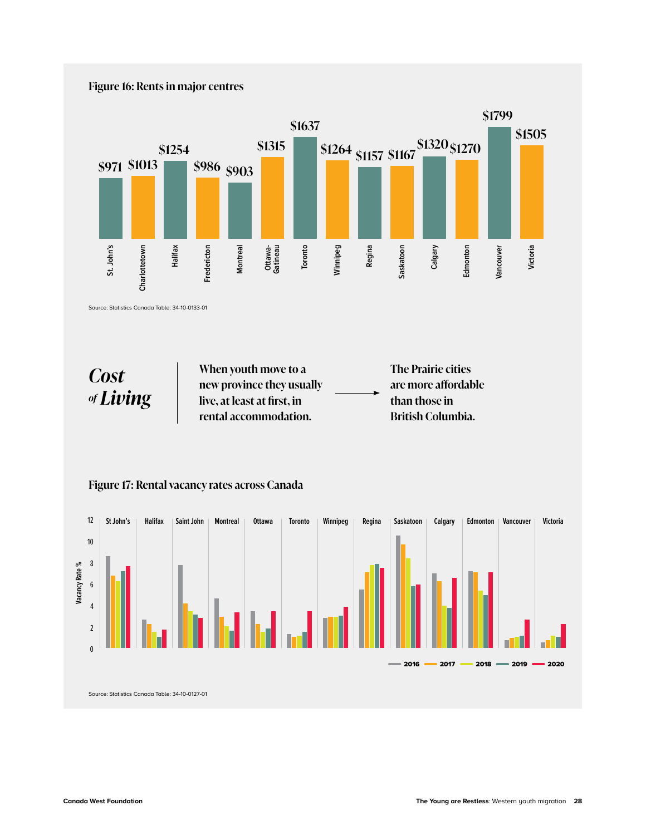#### **Figure 16: Rents in major centres**



Source: Statistics Canada Table: 34-10-0133-01

*Cost of Living* **When youth move to a new province they usually live, at least at first, in rental accommodation.**

**The Prairie cities are more affordable than those in British Columbia.**



**Figure 17: Rental vacancy rates across Canada**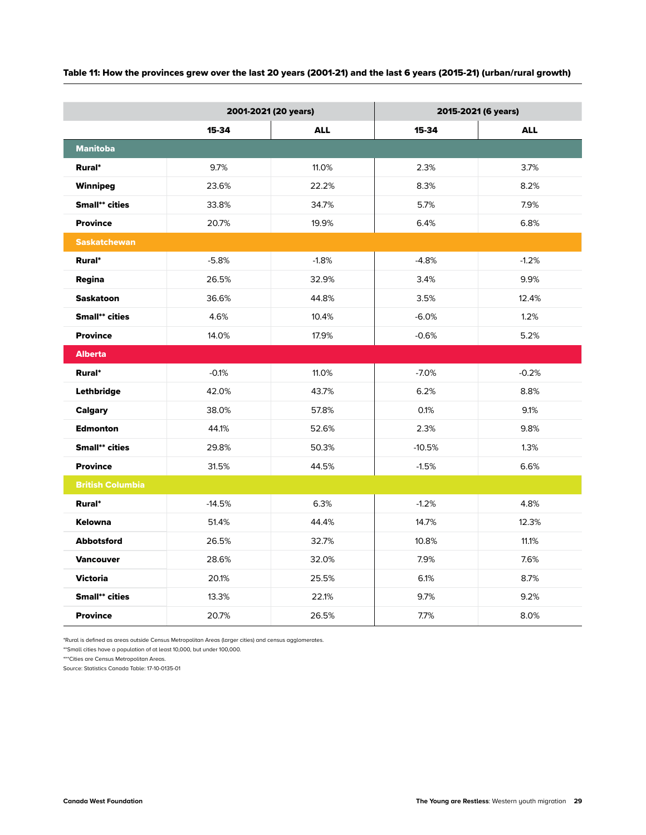| Table 11: How the provinces grew over the last 20 years (2001-21) and the last 6 years (2015-21) (urban/rural growth) |  |  |
|-----------------------------------------------------------------------------------------------------------------------|--|--|
|-----------------------------------------------------------------------------------------------------------------------|--|--|

|                         | 2001-2021 (20 years) |            | 2015-2021 (6 years) |            |  |
|-------------------------|----------------------|------------|---------------------|------------|--|
|                         | 15-34                | <b>ALL</b> | 15-34               | <b>ALL</b> |  |
| <b>Manitoba</b>         |                      |            |                     |            |  |
| Rural*                  | 9.7%                 | 11.0%      | 2.3%                | 3.7%       |  |
| Winnipeg                | 23.6%                | 22.2%      | 8.3%                | 8.2%       |  |
| <b>Small**</b> cities   | 33.8%                | 34.7%      | 5.7%                | 7.9%       |  |
| <b>Province</b>         | 20.7%                | 19.9%      | 6.4%                | 6.8%       |  |
| <b>Saskatchewan</b>     |                      |            |                     |            |  |
| Rural*                  | $-5.8%$              | $-1.8%$    | $-4.8%$             | $-1.2%$    |  |
| Regina                  | 26.5%                | 32.9%      | 3.4%                | 9.9%       |  |
| <b>Saskatoon</b>        | 36.6%                | 44.8%      | 3.5%                | 12.4%      |  |
| <b>Small**</b> cities   | 4.6%                 | 10.4%      | $-6.0%$             | 1.2%       |  |
| <b>Province</b>         | 14.0%                | 17.9%      | $-0.6%$             | 5.2%       |  |
| <b>Alberta</b>          |                      |            |                     |            |  |
| Rural*                  | $-0.1%$              | 11.0%      | $-7.0%$             | $-0.2%$    |  |
| Lethbridge              | 42.0%                | 43.7%      | 6.2%                | 8.8%       |  |
| <b>Calgary</b>          | 38.0%                | 57.8%      | 0.1%                | 9.1%       |  |
| <b>Edmonton</b>         | 44.1%                | 52.6%      | 2.3%                | 9.8%       |  |
| <b>Small** cities</b>   | 29.8%                | 50.3%      | $-10.5%$            | 1.3%       |  |
| <b>Province</b>         | 31.5%                | 44.5%      | $-1.5%$             | 6.6%       |  |
| <b>British Columbia</b> |                      |            |                     |            |  |
| Rural*                  | $-14.5%$             | 6.3%       | $-1.2%$             | 4.8%       |  |
| <b>Kelowna</b>          | 51.4%                | 44.4%      | 14.7%               | 12.3%      |  |
| <b>Abbotsford</b>       | 26.5%                | 32.7%      | 10.8%               | 11.1%      |  |
| <b>Vancouver</b>        | 28.6%                | 32.0%      | 7.9%                | 7.6%       |  |
| <b>Victoria</b>         | 20.1%                | 25.5%      | 6.1%                | 8.7%       |  |
| <b>Small**</b> cities   | 13.3%                | 22.1%      | 9.7%                | 9.2%       |  |
| <b>Province</b>         | 20.7%                | 26.5%      | 7.7%                | 8.0%       |  |

\*Rural is defined as areas outside Census Metropolitan Areas (larger cities) and census agglomerates.

\*\*Small cities have a population of at least 10,000, but under 100,000.

\*\*\*Cities are Census Metropolitan Areas.

Source: Statistics Canada Table: 17-10-0135-01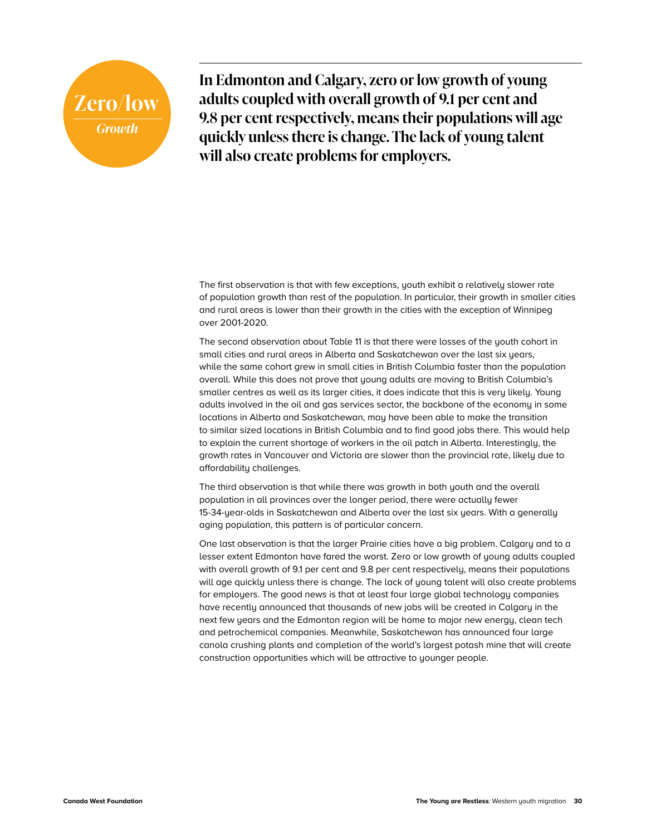## **Zero/low** *Growth*

**In Edmonton and Calgary, zero or low growth of young adults coupled with overall growth of 9.1 per cent and 9.8 per cent respectively, means their populations will age quickly unless there is change. The lack of young talent will also create problems for employers.**

The first observation is that with few exceptions, youth exhibit a relatively slower rate of population growth than rest of the population. In particular, their growth in smaller cities and rural areas is lower than their growth in the cities with the exception of Winnipeg over 2001-2020.

The second observation about Table 11 is that there were losses of the youth cohort in small cities and rural areas in Alberta and Saskatchewan over the last six years, while the same cohort grew in small cities in British Columbia faster than the population overall. While this does not prove that young adults are moving to British Columbia's smaller centres as well as its larger cities, it does indicate that this is very likely. Young adults involved in the oil and gas services sector, the backbone of the economy in some locations in Alberta and Saskatchewan, may have been able to make the transition to similar sized locations in British Columbia and to find good jobs there. This would help to explain the current shortage of workers in the oil patch in Alberta. Interestingly, the growth rates in Vancouver and Victoria are slower than the provincial rate, likely due to affordability challenges.

The third observation is that while there was growth in both youth and the overall population in all provinces over the longer period, there were actually fewer 15-34-year-olds in Saskatchewan and Alberta over the last six years. With a generally aging population, this pattern is of particular concern.

One last observation is that the larger Prairie cities have a big problem. Calgary and to a lesser extent Edmonton have fared the worst. Zero or low growth of young adults coupled with overall growth of 9.1 per cent and 9.8 per cent respectively, means their populations will age quickly unless there is change. The lack of young talent will also create problems for employers. The good news is that at least four large global technology companies have recently announced that thousands of new jobs will be created in Calgary in the next few years and the Edmonton region will be home to major new energy, clean tech and petrochemical companies. Meanwhile, Saskatchewan has announced four large canola crushing plants and completion of the world's largest potash mine that will create construction opportunities which will be attractive to younger people.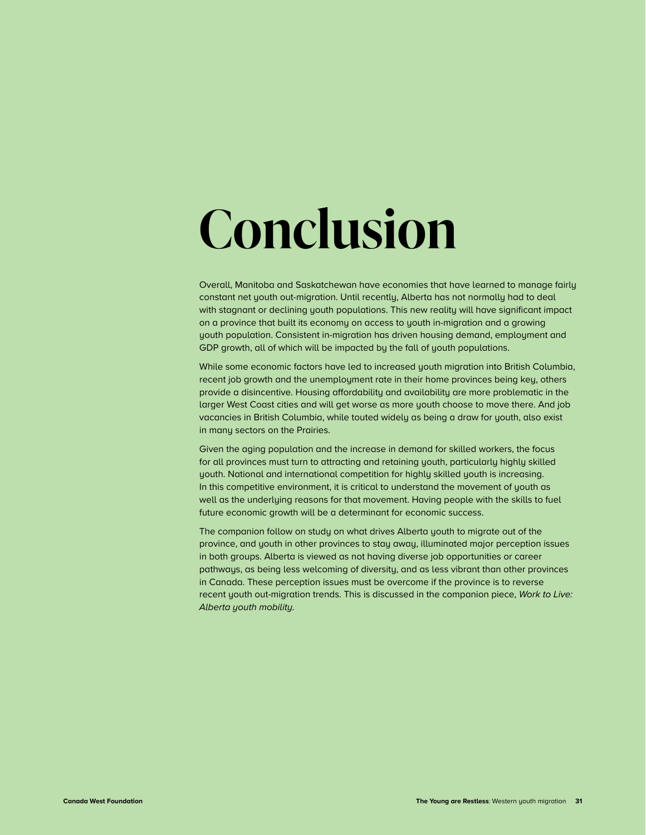## <span id="page-32-0"></span>**Conclusion**

Overall, Manitoba and Saskatchewan have economies that have learned to manage fairly constant net youth out-migration. Until recently, Alberta has not normally had to deal with stagnant or declining youth populations. This new reality will have significant impact on a province that built its economy on access to youth in-migration and a growing youth population. Consistent in-migration has driven housing demand, employment and GDP growth, all of which will be impacted by the fall of youth populations.

While some economic factors have led to increased youth migration into British Columbia, recent job growth and the unemployment rate in their home provinces being key, others provide a disincentive. Housing affordability and availability are more problematic in the larger West Coast cities and will get worse as more youth choose to move there. And job vacancies in British Columbia, while touted widely as being a draw for youth, also exist in many sectors on the Prairies.

Given the aging population and the increase in demand for skilled workers, the focus for all provinces must turn to attracting and retaining youth, particularly highly skilled youth. National and international competition for highly skilled youth is increasing. In this competitive environment, it is critical to understand the movement of youth as well as the underlying reasons for that movement. Having people with the skills to fuel future economic growth will be a determinant for economic success.

The companion follow on study on what drives Alberta youth to migrate out of the province, and youth in other provinces to stay away, illuminated major perception issues in both groups. Alberta is viewed as not having diverse job opportunities or career pathways, as being less welcoming of diversity, and as less vibrant than other provinces in Canada. These perception issues must be overcome if the province is to reverse recent youth out-migration trends. This is discussed in the companion piece, *Work to Live: Alberta youth mobility.*